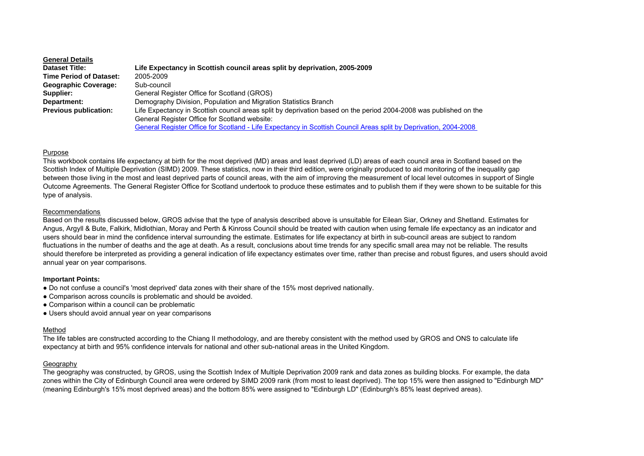### **General Details**

| <b>Dataset Title:</b>          | Life Expectancy in Scottish council areas split by deprivation, 2005-2009                                         |
|--------------------------------|-------------------------------------------------------------------------------------------------------------------|
| <b>Time Period of Dataset:</b> | 2005-2009                                                                                                         |
| <b>Geographic Coverage:</b>    | Sub-council                                                                                                       |
| Supplier:                      | General Register Office for Scotland (GROS)                                                                       |
| Department:                    | Demography Division, Population and Migration Statistics Branch                                                   |
| <b>Previous publication:</b>   | Life Expectancy in Scottish council areas split by deprivation based on the period 2004-2008 was published on the |
|                                | General Register Office for Scotland website:                                                                     |
|                                | General Register Office for Scotland - Life Expectancy in Scottish Council Areas split by Deprivation, 2004-2008  |

## Purpose

This workbook contains life expectancy at birth for the most deprived (MD) areas and least deprived (LD) areas of each council area in Scotland based on the Scottish Index of Multiple Deprivation (SIMD) 2009. These statistics, now in their third edition, were originally produced to aid monitoring of the inequality gap between those living in the most and least deprived parts of council areas, with the aim of improving the measurement of local level outcomes in support of Single Outcome Agreements. The General Register Office for Scotland undertook to produce these estimates and to publish them if they were shown to be suitable for this type of analysis.

### Recommendations

Based on the results discussed below, GROS advise that the type of analysis described above is unsuitable for Eilean Siar, Orkney and Shetland. Estimates for Angus, Argyll & Bute, Falkirk, Midlothian, Moray and Perth & Kinross Council should be treated with caution when using female life expectancy as an indicator and users should bear in mind the confidence interval surrounding the estimate. Estimates for life expectancy at birth in sub-council areas are subject to random fluctuations in the number of deaths and the age at death. As a result, conclusions about time trends for any specific small area may not be reliable. The results should therefore be interpreted as providing a general indication of life expectancy estimates over time, rather than precise and robust figures, and users should avoid annual year on year comparisons.

### **Important Points:**

- Do not confuse a council's 'most deprived' data zones with their share of the 15% most deprived nationally.
- Comparison across councils is problematic and should be avoided.
- Comparison within a council can be problematic
- Users should avoid annual year on year comparisons

# Method

The life tables are constructed according to the Chiang II methodology, and are thereby consistent with the method used by GROS and ONS to calculate life expectancy at birth and 95% confidence intervals for national and other sub-national areas in the United Kingdom.

### Geography

The geography was constructed, by GROS, using the Scottish Index of Multiple Deprivation 2009 rank and data zones as building blocks. For example, the data zones within the City of Edinburgh Council area were ordered by SIMD 2009 rank (from most to least deprived). The top 15% were then assigned to "Edinburgh MD" (meaning Edinburgh's 15% most deprived areas) and the bottom 85% were assigned to "Edinburgh LD" (Edinburgh's 85% least deprived areas).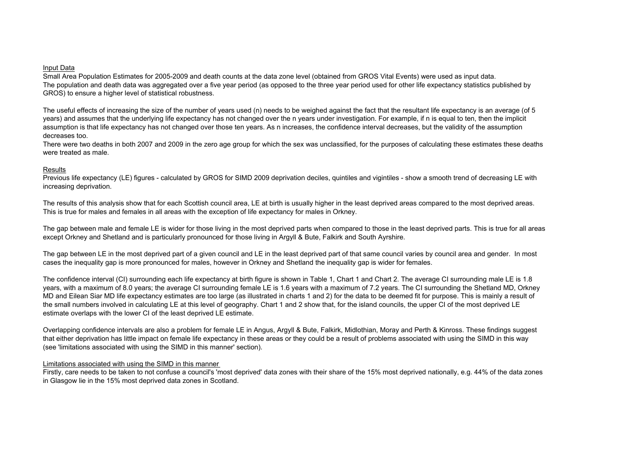### Input Data

Small Area Population Estimates for 2005-2009 and death counts at the data zone level (obtained from GROS Vital Events) were used as input data. The population and death data was aggregated over a five year period (as opposed to the three year period used for other life expectancy statistics published by GROS) to ensure a higher level of statistical robustness.

The useful effects of increasing the size of the number of years used (n) needs to be weighed against the fact that the resultant life expectancy is an average (of 5 years) and assumes that the underlying life expectancy has not changed over the n years under investigation. For example, if n is equal to ten, then the implicit assumption is that life expectancy has not changed over those ten years. As n increases, the confidence interval decreases, but the validity of the assumption decreases too.

There were two deaths in both 2007 and 2009 in the zero age group for which the sex was unclassified, for the purposes of calculating these estimates these deaths were treated as male.

## Results

Previous life expectancy (LE) figures - calculated by GROS for SIMD 2009 deprivation deciles, quintiles and vigintiles - show a smooth trend of decreasing LE with increasing deprivation.

The results of this analysis show that for each Scottish council area, LE at birth is usually higher in the least deprived areas compared to the most deprived areas. This is true for males and females in all areas with the exception of life expectancy for males in Orkney.

The gap between male and female LE is wider for those living in the most deprived parts when compared to those in the least deprived parts. This is true for all areas except Orkney and Shetland and is particularly pronounced for those living in Argyll & Bute, Falkirk and South Ayrshire.

The gap between LE in the most deprived part of a given council and LE in the least deprived part of that same council varies by council area and gender. In most cases the inequality gap is more pronounced for males, however in Orkney and Shetland the inequality gap is wider for females.

The confidence interval (CI) surrounding each life expectancy at birth figure is shown in Table 1, Chart 1 and Chart 2. The average CI surrounding male LE is 1.8 years, with a maximum of 8.0 years; the average CI surrounding female LE is 1.6 years with a maximum of 7.2 years. The CI surrounding the Shetland MD, Orkney MD and Eilean Siar MD life expectancy estimates are too large (as illustrated in charts 1 and 2) for the data to be deemed fit for purpose. This is mainly a result of the small numbers involved in calculating LE at this level of geography. Chart 1 and 2 show that, for the island councils, the upper CI of the most deprived LE estimate overlaps with the lower CI of the least deprived LE estimate.

Overlapping confidence intervals are also a problem for female LE in Angus, Argyll & Bute, Falkirk, Midlothian, Moray and Perth & Kinross. These findings suggest that either deprivation has little impact on female life expectancy in these areas or they could be a result of problems associated with using the SIMD in this way (see 'limitations associated with using the SIMD in this manner' section).

### Limitations associated with using the SIMD in this manner

Firstly, care needs to be taken to not confuse a council's 'most deprived' data zones with their share of the 15% most deprived nationally, e.g. 44% of the data zones in Glasgow lie in the 15% most deprived data zones in Scotland.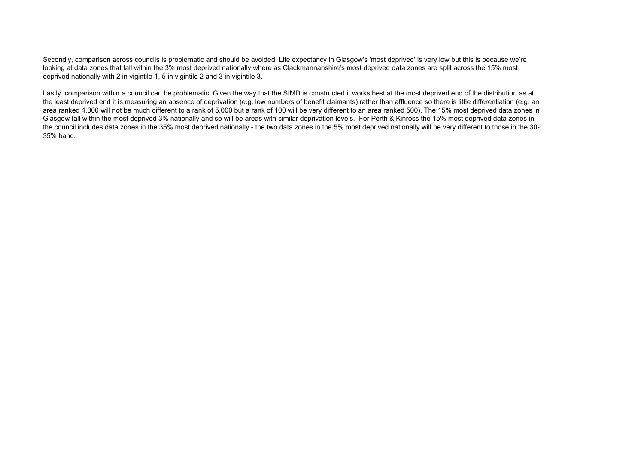Secondly, comparison across councils is problematic and should be avoided. Life expectancy in Glasgow's 'most deprived' is very low but this is because we're looking at data zones that fall within the 3% most deprived nationally where as Clackmannanshire's most deprived data zones are split across the 15% most deprived nationally with 2 in vigintile 1, 5 in vigintile 2 and 3 in vigintile 3.

Lastly, comparison within a council can be problematic. Given the way that the SIMD is constructed it works best at the most deprived end of the distribution as at the least deprived end it is measuring an absence of deprivation (e.g. low numbers of benefit claimants) rather than affluence so there is little differentiation (e.g. an area ranked 4,000 will not be much different to a rank of 5,000 but a rank of 100 will be very different to an area ranked 500). The 15% most deprived data zones in Glasgow fall within the most deprived 3% nationally and so will be areas with similar deprivation levels. For Perth & Kinross the 15% most deprived data zones in the council includes data zones in the 35% most deprived nationally - the two data zones in the 5% most deprived nationally will be very different to those in the 30- 35% band.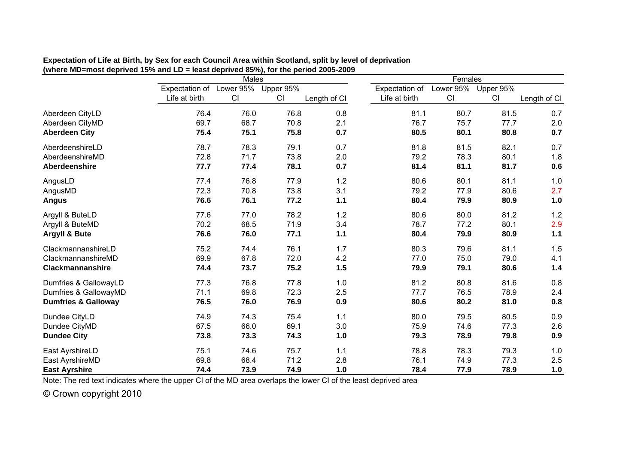|                                | <b>Males</b>             |      |           |              | Females        |           |           |              |
|--------------------------------|--------------------------|------|-----------|--------------|----------------|-----------|-----------|--------------|
|                                | Expectation of Lower 95% |      | Upper 95% |              | Expectation of | Lower 95% | Upper 95% |              |
|                                | Life at birth            | CI   | CI        | Length of CI | Life at birth  | CI        | CI        | Length of CI |
| Aberdeen CityLD                | 76.4                     | 76.0 | 76.8      | 0.8          | 81.1           | 80.7      | 81.5      | 0.7          |
| Aberdeen CityMD                | 69.7                     | 68.7 | 70.8      | 2.1          | 76.7           | 75.7      | 77.7      | 2.0          |
| <b>Aberdeen City</b>           | 75.4                     | 75.1 | 75.8      | 0.7          | 80.5           | 80.1      | 80.8      | 0.7          |
| AberdeenshireLD                | 78.7                     | 78.3 | 79.1      | 0.7          | 81.8           | 81.5      | 82.1      | 0.7          |
| AberdeenshireMD                | 72.8                     | 71.7 | 73.8      | 2.0          | 79.2           | 78.3      | 80.1      | 1.8          |
| Aberdeenshire                  | 77.7                     | 77.4 | 78.1      | 0.7          | 81.4           | 81.1      | 81.7      | 0.6          |
| AngusLD                        | 77.4                     | 76.8 | 77.9      | 1.2          | 80.6           | 80.1      | 81.1      | 1.0          |
| AngusMD                        | 72.3                     | 70.8 | 73.8      | 3.1          | 79.2           | 77.9      | 80.6      | 2.7          |
| <b>Angus</b>                   | 76.6                     | 76.1 | 77.2      | $1.1$        | 80.4           | 79.9      | 80.9      | 1.0          |
| Argyll & ButeLD                | 77.6                     | 77.0 | 78.2      | 1.2          | 80.6           | 80.0      | 81.2      | $1.2$        |
| Argyll & ButeMD                | 70.2                     | 68.5 | 71.9      | 3.4          | 78.7           | 77.2      | 80.1      | 2.9          |
| Argyll & Bute                  | 76.6                     | 76.0 | 77.1      | $1.1$        | 80.4           | 79.9      | 80.9      | $1.1$        |
| ClackmannanshireLD             | 75.2                     | 74.4 | 76.1      | 1.7          | 80.3           | 79.6      | 81.1      | 1.5          |
| ClackmannanshireMD             | 69.9                     | 67.8 | 72.0      | 4.2          | 77.0           | 75.0      | 79.0      | 4.1          |
| <b>Clackmannanshire</b>        | 74.4                     | 73.7 | 75.2      | 1.5          | 79.9           | 79.1      | 80.6      | 1.4          |
| Dumfries & GallowayLD          | 77.3                     | 76.8 | 77.8      | 1.0          | 81.2           | 80.8      | 81.6      | 0.8          |
| Dumfries & GallowayMD          | 71.1                     | 69.8 | 72.3      | 2.5          | 77.7           | 76.5      | 78.9      | 2.4          |
| <b>Dumfries &amp; Galloway</b> | 76.5                     | 76.0 | 76.9      | 0.9          | 80.6           | 80.2      | 81.0      | 0.8          |
| Dundee CityLD                  | 74.9                     | 74.3 | 75.4      | 1.1          | 80.0           | 79.5      | 80.5      | 0.9          |
| Dundee CityMD                  | 67.5                     | 66.0 | 69.1      | 3.0          | 75.9           | 74.6      | 77.3      | 2.6          |
| <b>Dundee City</b>             | 73.8                     | 73.3 | 74.3      | 1.0          | 79.3           | 78.9      | 79.8      | 0.9          |
| East AyrshireLD                | 75.1                     | 74.6 | 75.7      | 1.1          | 78.8           | 78.3      | 79.3      | 1.0          |
| East AyrshireMD                | 69.8                     | 68.4 | 71.2      | 2.8          | 76.1           | 74.9      | 77.3      | 2.5          |
| <b>East Ayrshire</b>           | 74.4                     | 73.9 | 74.9      | 1.0          | 78.4           | 77.9      | 78.9      | 1.0          |

**Expectation of Life at Birth, by Sex for each Council Area within Scotland, split by level of deprivation (where MD=most deprived 15% and LD = least deprived 85%), for the period 2005-2009**

Note: The red text indicates where the upper CI of the MD area overlaps the lower CI of the least deprived area

© Crown copyright 2010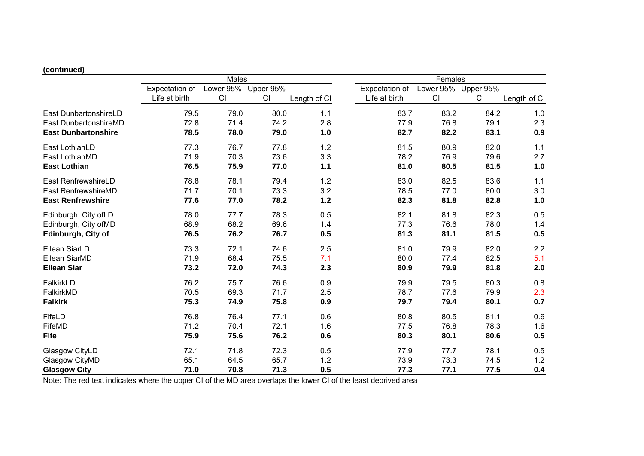# **(continued)**

|                            | Males          |           |           |              | Females        |           |           |              |
|----------------------------|----------------|-----------|-----------|--------------|----------------|-----------|-----------|--------------|
|                            | Expectation of | Lower 95% | Upper 95% |              | Expectation of | Lower 95% | Upper 95% |              |
|                            | Life at birth  | CI        | CI        | Length of CI | Life at birth  | CI        | CI        | Length of CI |
| East DunbartonshireLD      | 79.5           | 79.0      | 80.0      | 1.1          | 83.7           | 83.2      | 84.2      | 1.0          |
| East DunbartonshireMD      | 72.8           | 71.4      | 74.2      | 2.8          | 77.9           | 76.8      | 79.1      | 2.3          |
| <b>East Dunbartonshire</b> | 78.5           | 78.0      | 79.0      | 1.0          | 82.7           | 82.2      | 83.1      | 0.9          |
| East LothianLD             | 77.3           | 76.7      | 77.8      | 1.2          | 81.5           | 80.9      | 82.0      | 1.1          |
| East LothianMD             | 71.9           | 70.3      | 73.6      | 3.3          | 78.2           | 76.9      | 79.6      | 2.7          |
| <b>East Lothian</b>        | 76.5           | 75.9      | 77.0      | 1.1          | 81.0           | 80.5      | 81.5      | 1.0          |
| East RenfrewshireLD        | 78.8           | 78.1      | 79.4      | 1.2          | 83.0           | 82.5      | 83.6      | 1.1          |
| East RenfrewshireMD        | 71.7           | 70.1      | 73.3      | 3.2          | 78.5           | 77.0      | 80.0      | 3.0          |
| <b>East Renfrewshire</b>   | 77.6           | 77.0      | 78.2      | $1.2$        | 82.3           | 81.8      | 82.8      | 1.0          |
| Edinburgh, City ofLD       | 78.0           | 77.7      | 78.3      | 0.5          | 82.1           | 81.8      | 82.3      | 0.5          |
| Edinburgh, City ofMD       | 68.9           | 68.2      | 69.6      | 1.4          | 77.3           | 76.6      | 78.0      | 1.4          |
| Edinburgh, City of         | 76.5           | 76.2      | 76.7      | 0.5          | 81.3           | 81.1      | 81.5      | 0.5          |
| Eilean SiarLD              | 73.3           | 72.1      | 74.6      | 2.5          | 81.0           | 79.9      | 82.0      | 2.2          |
| Eilean SiarMD              | 71.9           | 68.4      | 75.5      | 7.1          | 80.0           | 77.4      | 82.5      | 5.1          |
| <b>Eilean Siar</b>         | 73.2           | 72.0      | 74.3      | 2.3          | 80.9           | 79.9      | 81.8      | 2.0          |
| FalkirkLD                  | 76.2           | 75.7      | 76.6      | 0.9          | 79.9           | 79.5      | 80.3      | 0.8          |
| FalkirkMD                  | 70.5           | 69.3      | 71.7      | 2.5          | 78.7           | 77.6      | 79.9      | 2.3          |
| <b>Falkirk</b>             | 75.3           | 74.9      | 75.8      | 0.9          | 79.7           | 79.4      | 80.1      | 0.7          |
| FifeLD                     | 76.8           | 76.4      | 77.1      | 0.6          | 80.8           | 80.5      | 81.1      | 0.6          |
| FifeMD                     | 71.2           | 70.4      | 72.1      | 1.6          | 77.5           | 76.8      | 78.3      | 1.6          |
| <b>Fife</b>                | 75.9           | 75.6      | 76.2      | 0.6          | 80.3           | 80.1      | 80.6      | 0.5          |
| Glasgow CityLD             | 72.1           | 71.8      | 72.3      | 0.5          | 77.9           | 77.7      | 78.1      | 0.5          |
| Glasgow CityMD             | 65.1           | 64.5      | 65.7      | 1.2          | 73.9           | 73.3      | 74.5      | $1.2$        |
| <b>Glasgow City</b>        | 71.0           | 70.8      | 71.3      | 0.5          | 77.3           | 77.1      | 77.5      | 0.4          |

Note: The red text indicates where the upper CI of the MD area overlaps the lower CI of the least deprived area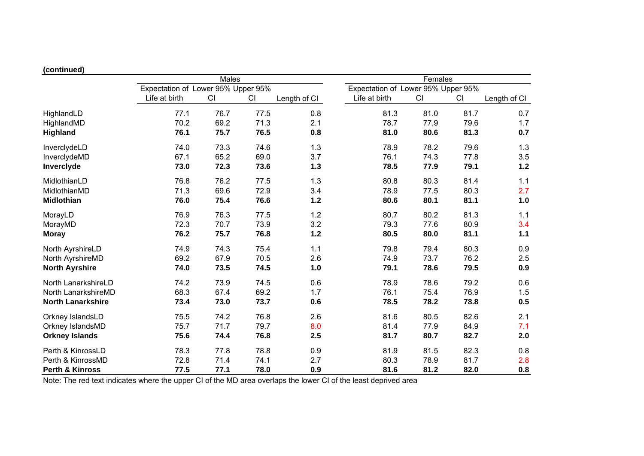# **(continued)**

|                            | Males<br>Expectation of Lower 95% Upper 95% |      |      |              | Females<br>Expectation of Lower 95% Upper 95% |      |      |              |
|----------------------------|---------------------------------------------|------|------|--------------|-----------------------------------------------|------|------|--------------|
|                            |                                             |      |      |              |                                               |      |      |              |
|                            | Life at birth                               | CI   | CI   | Length of CI | Life at birth                                 | CI   | CI   | Length of CI |
| HighlandLD                 | 77.1                                        | 76.7 | 77.5 | 0.8          | 81.3                                          | 81.0 | 81.7 | 0.7          |
| HighlandMD                 | 70.2                                        | 69.2 | 71.3 | 2.1          | 78.7                                          | 77.9 | 79.6 | 1.7          |
| <b>Highland</b>            | 76.1                                        | 75.7 | 76.5 | 0.8          | 81.0                                          | 80.6 | 81.3 | 0.7          |
| InverclydeLD               | 74.0                                        | 73.3 | 74.6 | 1.3          | 78.9                                          | 78.2 | 79.6 | 1.3          |
| InverclydeMD               | 67.1                                        | 65.2 | 69.0 | 3.7          | 76.1                                          | 74.3 | 77.8 | 3.5          |
| Inverclyde                 | 73.0                                        | 72.3 | 73.6 | $1.3$        | 78.5                                          | 77.9 | 79.1 | $1.2$        |
| MidlothianLD               | 76.8                                        | 76.2 | 77.5 | 1.3          | 80.8                                          | 80.3 | 81.4 | 1.1          |
| MidlothianMD               | 71.3                                        | 69.6 | 72.9 | 3.4          | 78.9                                          | 77.5 | 80.3 | 2.7          |
| <b>Midlothian</b>          | 76.0                                        | 75.4 | 76.6 | $1.2$        | 80.6                                          | 80.1 | 81.1 | 1.0          |
| MorayLD                    | 76.9                                        | 76.3 | 77.5 | 1.2          | 80.7                                          | 80.2 | 81.3 | 1.1          |
| MorayMD                    | 72.3                                        | 70.7 | 73.9 | 3.2          | 79.3                                          | 77.6 | 80.9 | 3.4          |
| <b>Moray</b>               | 76.2                                        | 75.7 | 76.8 | 1.2          | 80.5                                          | 80.0 | 81.1 | 1.1          |
| North AyrshireLD           | 74.9                                        | 74.3 | 75.4 | 1.1          | 79.8                                          | 79.4 | 80.3 | 0.9          |
| North AyrshireMD           | 69.2                                        | 67.9 | 70.5 | 2.6          | 74.9                                          | 73.7 | 76.2 | 2.5          |
| <b>North Ayrshire</b>      | 74.0                                        | 73.5 | 74.5 | 1.0          | 79.1                                          | 78.6 | 79.5 | 0.9          |
| North LanarkshireLD        | 74.2                                        | 73.9 | 74.5 | 0.6          | 78.9                                          | 78.6 | 79.2 | 0.6          |
| North LanarkshireMD        | 68.3                                        | 67.4 | 69.2 | 1.7          | 76.1                                          | 75.4 | 76.9 | 1.5          |
| <b>North Lanarkshire</b>   | 73.4                                        | 73.0 | 73.7 | 0.6          | 78.5                                          | 78.2 | 78.8 | 0.5          |
| Orkney IslandsLD           | 75.5                                        | 74.2 | 76.8 | 2.6          | 81.6                                          | 80.5 | 82.6 | 2.1          |
| Orkney IslandsMD           | 75.7                                        | 71.7 | 79.7 | 8.0          | 81.4                                          | 77.9 | 84.9 | 7.1          |
| <b>Orkney Islands</b>      | 75.6                                        | 74.4 | 76.8 | 2.5          | 81.7                                          | 80.7 | 82.7 | 2.0          |
| Perth & KinrossLD          | 78.3                                        | 77.8 | 78.8 | 0.9          | 81.9                                          | 81.5 | 82.3 | 0.8          |
| Perth & KinrossMD          | 72.8                                        | 71.4 | 74.1 | 2.7          | 80.3                                          | 78.9 | 81.7 | 2.8          |
| <b>Perth &amp; Kinross</b> | 77.5                                        | 77.1 | 78.0 | 0.9          | 81.6                                          | 81.2 | 82.0 | 0.8          |

Note: The red text indicates where the upper CI of the MD area overlaps the lower CI of the least deprived area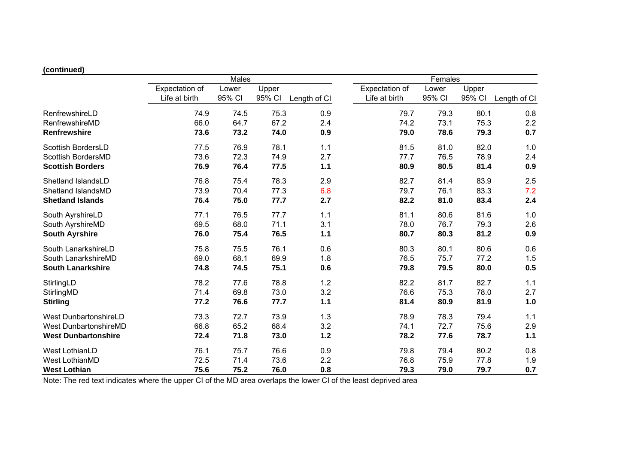# **(continued)**

|                              | Males          |        |        |              | Females        |        |        |              |
|------------------------------|----------------|--------|--------|--------------|----------------|--------|--------|--------------|
|                              | Expectation of | Lower  | Upper  |              | Expectation of | Lower  | Upper  |              |
|                              | Life at birth  | 95% CI | 95% CI | Length of CI | Life at birth  | 95% CI | 95% CI | Length of CI |
| RenfrewshireLD               | 74.9           | 74.5   | 75.3   | 0.9          | 79.7           | 79.3   | 80.1   | 0.8          |
| RenfrewshireMD               | 66.0           | 64.7   | 67.2   | 2.4          | 74.2           | 73.1   | 75.3   | 2.2          |
| <b>Renfrewshire</b>          | 73.6           | 73.2   | 74.0   | 0.9          | 79.0           | 78.6   | 79.3   | 0.7          |
| <b>Scottish BordersLD</b>    | 77.5           | 76.9   | 78.1   | 1.1          | 81.5           | 81.0   | 82.0   | 1.0          |
| Scottish BordersMD           | 73.6           | 72.3   | 74.9   | 2.7          | 77.7           | 76.5   | 78.9   | 2.4          |
| <b>Scottish Borders</b>      | 76.9           | 76.4   | 77.5   | 1.1          | 80.9           | 80.5   | 81.4   | 0.9          |
| Shetland IslandsLD           | 76.8           | 75.4   | 78.3   | 2.9          | 82.7           | 81.4   | 83.9   | 2.5          |
| Shetland IslandsMD           | 73.9           | 70.4   | 77.3   | 6.8          | 79.7           | 76.1   | 83.3   | 7.2          |
| <b>Shetland Islands</b>      | 76.4           | 75.0   | 77.7   | 2.7          | 82.2           | 81.0   | 83.4   | 2.4          |
| South AyrshireLD             | 77.1           | 76.5   | 77.7   | 1.1          | 81.1           | 80.6   | 81.6   | 1.0          |
| South AyrshireMD             | 69.5           | 68.0   | 71.1   | 3.1          | 78.0           | 76.7   | 79.3   | 2.6          |
| <b>South Ayrshire</b>        | 76.0           | 75.4   | 76.5   | 1.1          | 80.7           | 80.3   | 81.2   | 0.9          |
| South LanarkshireLD          | 75.8           | 75.5   | 76.1   | 0.6          | 80.3           | 80.1   | 80.6   | 0.6          |
| South LanarkshireMD          | 69.0           | 68.1   | 69.9   | 1.8          | 76.5           | 75.7   | 77.2   | 1.5          |
| <b>South Lanarkshire</b>     | 74.8           | 74.5   | 75.1   | 0.6          | 79.8           | 79.5   | 80.0   | 0.5          |
| StirlingLD                   | 78.2           | 77.6   | 78.8   | 1.2          | 82.2           | 81.7   | 82.7   | 1.1          |
| StirlingMD                   | 71.4           | 69.8   | 73.0   | 3.2          | 76.6           | 75.3   | 78.0   | 2.7          |
| <b>Stirling</b>              | 77.2           | 76.6   | 77.7   | 1.1          | 81.4           | 80.9   | 81.9   | 1.0          |
| West DunbartonshireLD        | 73.3           | 72.7   | 73.9   | 1.3          | 78.9           | 78.3   | 79.4   | 1.1          |
| <b>West DunbartonshireMD</b> | 66.8           | 65.2   | 68.4   | 3.2          | 74.1           | 72.7   | 75.6   | 2.9          |
| <b>West Dunbartonshire</b>   | 72.4           | 71.8   | 73.0   | $1.2$        | 78.2           | 77.6   | 78.7   | 1.1          |
| West LothianLD               | 76.1           | 75.7   | 76.6   | 0.9          | 79.8           | 79.4   | 80.2   | 0.8          |
| <b>West LothianMD</b>        | 72.5           | 71.4   | 73.6   | 2.2          | 76.8           | 75.9   | 77.8   | 1.9          |
| <b>West Lothian</b>          | 75.6           | 75.2   | 76.0   | 0.8          | 79.3           | 79.0   | 79.7   | 0.7          |

Note: The red text indicates where the upper CI of the MD area overlaps the lower CI of the least deprived area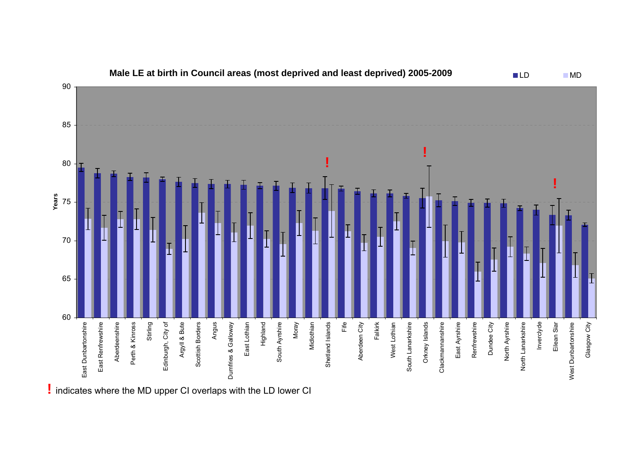

**!** indicates where the MD upper CI overlaps with the LD lower CI

MD